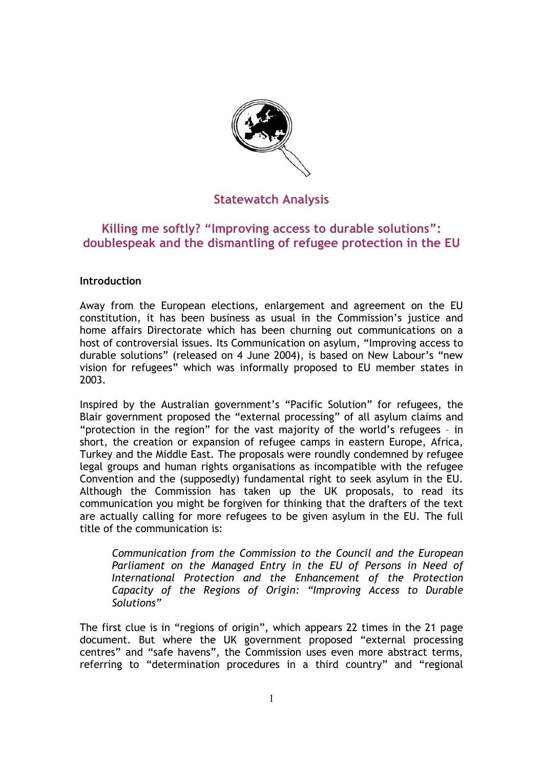

# **Statewatch Analysis**

# **Killing me softly? "Improving access to durable solutions": doublespeak and the dismantling of refugee protection in the EU**

## **Introduction**

Away from the European elections, enlargement and agreement on the EU constitution, it has been business as usual in the Commission's justice and home affairs Directorate which has been churning out communications on a host of controversial issues. Its Communication on asylum, "Improving access to durable solutions" (released on 4 June 2004), is based on New Labour's "new vision for refugees" which was informally proposed to EU member states in 2003.

Inspired by the Australian government's "Pacific Solution" for refugees, the Blair government proposed the "external processing" of all asylum claims and "protection in the region" for the vast majority of the world's refugees – in short, the creation or expansion of refugee camps in eastern Europe, Africa, Turkey and the Middle East. The proposals were roundly condemned by refugee legal groups and human rights organisations as incompatible with the refugee Convention and the (supposedly) fundamental right to seek asylum in the EU. Although the Commission has taken up the UK proposals, to read its communication you might be forgiven for thinking that the drafters of the text are actually calling for more refugees to be given asylum in the EU. The full title of the communication is:

*Communication from the Commission to the Council and the European Parliament on the Managed Entry in the EU of Persons in Need of International Protection and the Enhancement of the Protection Capacity of the Regions of Origin: "Improving Access to Durable Solutions"* 

The first clue is in "regions of origin", which appears 22 times in the 21 page document. But where the UK government proposed "external processing centres" and "safe havens", the Commission uses even more abstract terms, referring to "determination procedures in a third country" and "regional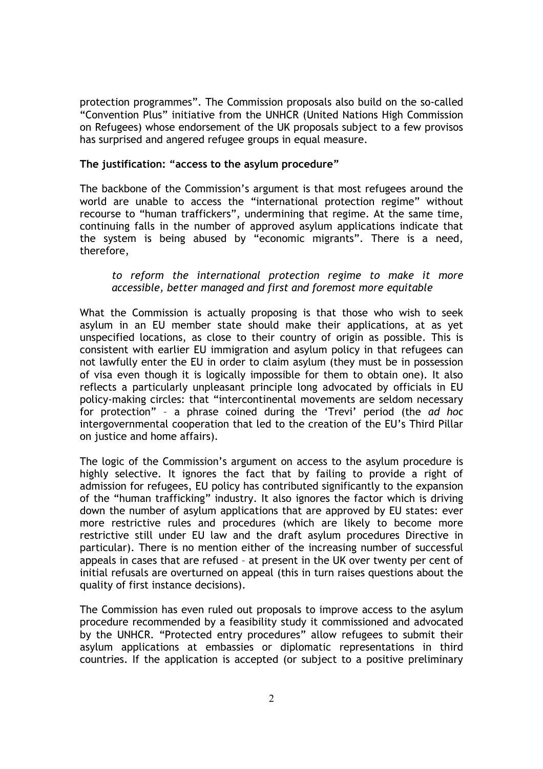protection programmes". The Commission proposals also build on the so-called "Convention Plus" initiative from the UNHCR (United Nations High Commission on Refugees) whose endorsement of the UK proposals subject to a few provisos has surprised and angered refugee groups in equal measure.

## **The justification: "access to the asylum procedure"**

The backbone of the Commission's argument is that most refugees around the world are unable to access the "international protection regime" without recourse to "human traffickers", undermining that regime. At the same time, continuing falls in the number of approved asylum applications indicate that the system is being abused by "economic migrants". There is a need, therefore,

### *to reform the international protection regime to make it more accessible, better managed and first and foremost more equitable*

What the Commission is actually proposing is that those who wish to seek asylum in an EU member state should make their applications, at as yet unspecified locations, as close to their country of origin as possible. This is consistent with earlier EU immigration and asylum policy in that refugees can not lawfully enter the EU in order to claim asylum (they must be in possession of visa even though it is logically impossible for them to obtain one). It also reflects a particularly unpleasant principle long advocated by officials in EU policy-making circles: that "intercontinental movements are seldom necessary for protection" – a phrase coined during the 'Trevi' period (the *ad hoc*  intergovernmental cooperation that led to the creation of the EU's Third Pillar on justice and home affairs).

The logic of the Commission's argument on access to the asylum procedure is highly selective. It ignores the fact that by failing to provide a right of admission for refugees, EU policy has contributed significantly to the expansion of the "human trafficking" industry. It also ignores the factor which is driving down the number of asylum applications that are approved by EU states: ever more restrictive rules and procedures (which are likely to become more restrictive still under EU law and the draft asylum procedures Directive in particular). There is no mention either of the increasing number of successful appeals in cases that are refused – at present in the UK over twenty per cent of initial refusals are overturned on appeal (this in turn raises questions about the quality of first instance decisions).

The Commission has even ruled out proposals to improve access to the asylum procedure recommended by a feasibility study it commissioned and advocated by the UNHCR. "Protected entry procedures" allow refugees to submit their asylum applications at embassies or diplomatic representations in third countries. If the application is accepted (or subject to a positive preliminary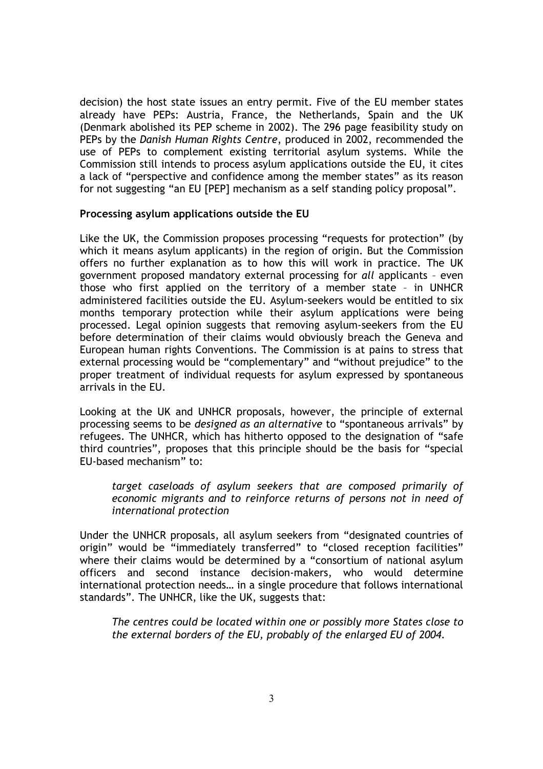decision) the host state issues an entry permit. Five of the EU member states already have PEPs: Austria, France, the Netherlands, Spain and the UK (Denmark abolished its PEP scheme in 2002). The 296 page feasibility study on PEPs by the *Danish Human Rights Centre*, produced in 2002, recommended the use of PEPs to complement existing territorial asylum systems. While the Commission still intends to process asylum applications outside the EU, it cites a lack of "perspective and confidence among the member states" as its reason for not suggesting "an EU [PEP] mechanism as a self standing policy proposal".

### **Processing asylum applications outside the EU**

Like the UK, the Commission proposes processing "requests for protection" (by which it means asylum applicants) in the region of origin. But the Commission offers no further explanation as to how this will work in practice. The UK government proposed mandatory external processing for *all* applicants – even those who first applied on the territory of a member state – in UNHCR administered facilities outside the EU. Asylum-seekers would be entitled to six months temporary protection while their asylum applications were being processed. Legal opinion suggests that removing asylum-seekers from the EU before determination of their claims would obviously breach the Geneva and European human rights Conventions. The Commission is at pains to stress that external processing would be "complementary" and "without prejudice" to the proper treatment of individual requests for asylum expressed by spontaneous arrivals in the EU.

Looking at the UK and UNHCR proposals, however, the principle of external processing seems to be *designed as an alternative* to "spontaneous arrivals" by refugees. The UNHCR, which has hitherto opposed to the designation of "safe third countries", proposes that this principle should be the basis for "special EU-based mechanism" to:

*target caseloads of asylum seekers that are composed primarily of economic migrants and to reinforce returns of persons not in need of international protection* 

Under the UNHCR proposals, all asylum seekers from "designated countries of origin" would be "immediately transferred" to "closed reception facilities" where their claims would be determined by a "consortium of national asylum officers and second instance decision-makers, who would determine international protection needs… in a single procedure that follows international standards". The UNHCR, like the UK, suggests that:

*The centres could be located within one or possibly more States close to the external borders of the EU, probably of the enlarged EU of 2004.*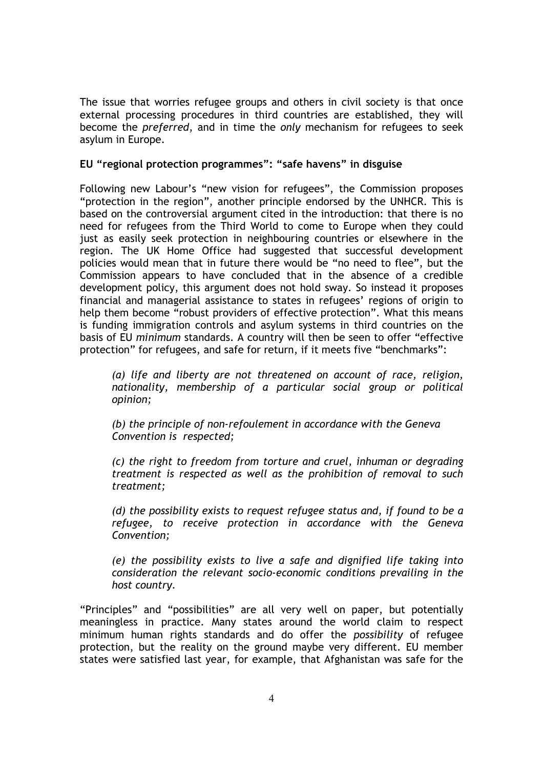The issue that worries refugee groups and others in civil society is that once external processing procedures in third countries are established, they will become the *preferred*, and in time the *only* mechanism for refugees to seek asylum in Europe.

## **EU "regional protection programmes": "safe havens" in disguise**

Following new Labour's "new vision for refugees", the Commission proposes "protection in the region", another principle endorsed by the UNHCR. This is based on the controversial argument cited in the introduction: that there is no need for refugees from the Third World to come to Europe when they could just as easily seek protection in neighbouring countries or elsewhere in the region. The UK Home Office had suggested that successful development policies would mean that in future there would be "no need to flee", but the Commission appears to have concluded that in the absence of a credible development policy, this argument does not hold sway. So instead it proposes financial and managerial assistance to states in refugees' regions of origin to help them become "robust providers of effective protection". What this means is funding immigration controls and asylum systems in third countries on the basis of EU *minimum* standards. A country will then be seen to offer "effective protection" for refugees, and safe for return, if it meets five "benchmarks":

*(a) life and liberty are not threatened on account of race, religion, nationality, membership of a particular social group or political opinion;* 

*(b) the principle of non-refoulement in accordance with the Geneva Convention is respected;* 

*(c) the right to freedom from torture and cruel, inhuman or degrading treatment is respected as well as the prohibition of removal to such treatment;* 

*(d) the possibility exists to request refugee status and, if found to be a refugee, to receive protection in accordance with the Geneva Convention;* 

*(e) the possibility exists to live a safe and dignified life taking into consideration the relevant socio-economic conditions prevailing in the host country.* 

"Principles" and "possibilities" are all very well on paper, but potentially meaningless in practice. Many states around the world claim to respect minimum human rights standards and do offer the *possibility* of refugee protection, but the reality on the ground maybe very different. EU member states were satisfied last year, for example, that Afghanistan was safe for the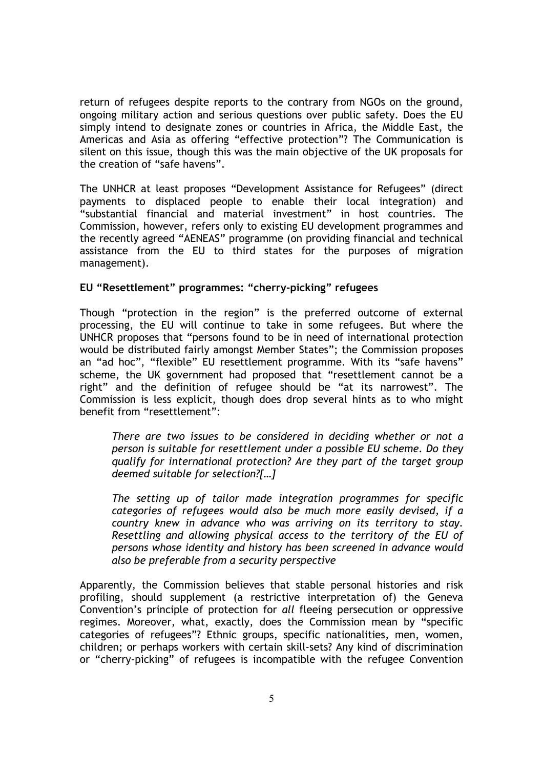return of refugees despite reports to the contrary from NGOs on the ground, ongoing military action and serious questions over public safety. Does the EU simply intend to designate zones or countries in Africa, the Middle East, the Americas and Asia as offering "effective protection"? The Communication is silent on this issue, though this was the main objective of the UK proposals for the creation of "safe havens".

The UNHCR at least proposes "Development Assistance for Refugees" (direct payments to displaced people to enable their local integration) and "substantial financial and material investment" in host countries. The Commission, however, refers only to existing EU development programmes and the recently agreed "AENEAS" programme (on providing financial and technical assistance from the EU to third states for the purposes of migration management).

### **EU "Resettlement" programmes: "cherry-picking" refugees**

Though "protection in the region" is the preferred outcome of external processing, the EU will continue to take in some refugees. But where the UNHCR proposes that "persons found to be in need of international protection would be distributed fairly amongst Member States"; the Commission proposes an "ad hoc", "flexible" EU resettlement programme. With its "safe havens" scheme, the UK government had proposed that "resettlement cannot be a right" and the definition of refugee should be "at its narrowest". The Commission is less explicit, though does drop several hints as to who might benefit from "resettlement":

*There are two issues to be considered in deciding whether or not a person is suitable for resettlement under a possible EU scheme. Do they qualify for international protection? Are they part of the target group deemed suitable for selection?[…]* 

*The setting up of tailor made integration programmes for specific categories of refugees would also be much more easily devised, if a country knew in advance who was arriving on its territory to stay. Resettling and allowing physical access to the territory of the EU of persons whose identity and history has been screened in advance would also be preferable from a security perspective* 

Apparently, the Commission believes that stable personal histories and risk profiling, should supplement (a restrictive interpretation of) the Geneva Convention's principle of protection for *all* fleeing persecution or oppressive regimes. Moreover, what, exactly, does the Commission mean by "specific categories of refugees"? Ethnic groups, specific nationalities, men, women, children; or perhaps workers with certain skill-sets? Any kind of discrimination or "cherry-picking" of refugees is incompatible with the refugee Convention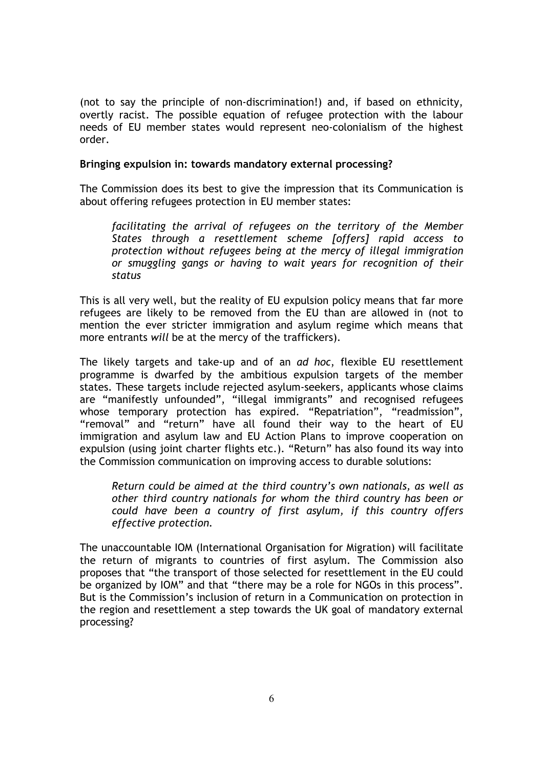(not to say the principle of non-discrimination!) and, if based on ethnicity, overtly racist. The possible equation of refugee protection with the labour needs of EU member states would represent neo-colonialism of the highest order.

#### **Bringing expulsion in: towards mandatory external processing?**

The Commission does its best to give the impression that its Communication is about offering refugees protection in EU member states:

*facilitating the arrival of refugees on the territory of the Member States through a resettlement scheme [offers] rapid access to protection without refugees being at the mercy of illegal immigration or smuggling gangs or having to wait years for recognition of their status* 

This is all very well, but the reality of EU expulsion policy means that far more refugees are likely to be removed from the EU than are allowed in (not to mention the ever stricter immigration and asylum regime which means that more entrants *will* be at the mercy of the traffickers).

The likely targets and take-up and of an *ad hoc*, flexible EU resettlement programme is dwarfed by the ambitious expulsion targets of the member states. These targets include rejected asylum-seekers, applicants whose claims are "manifestly unfounded", "illegal immigrants" and recognised refugees whose temporary protection has expired. "Repatriation", "readmission", "removal" and "return" have all found their way to the heart of EU immigration and asylum law and EU Action Plans to improve cooperation on expulsion (using joint charter flights etc.). "Return" has also found its way into the Commission communication on improving access to durable solutions:

*Return could be aimed at the third country's own nationals, as well as other third country nationals for whom the third country has been or could have been a country of first asylum, if this country offers effective protection.* 

The unaccountable IOM (International Organisation for Migration) will facilitate the return of migrants to countries of first asylum. The Commission also proposes that "the transport of those selected for resettlement in the EU could be organized by IOM" and that "there may be a role for NGOs in this process". But is the Commission's inclusion of return in a Communication on protection in the region and resettlement a step towards the UK goal of mandatory external processing?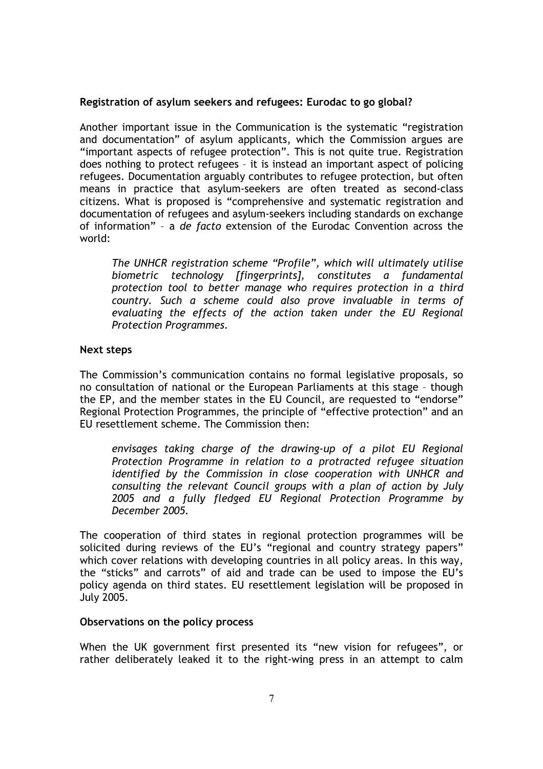### **Registration of asylum seekers and refugees: Eurodac to go global?**

Another important issue in the Communication is the systematic "registration and documentation" of asylum applicants, which the Commission argues are "important aspects of refugee protection". This is not quite true. Registration does nothing to protect refugees – it is instead an important aspect of policing refugees. Documentation arguably contributes to refugee protection, but often means in practice that asylum-seekers are often treated as second-class citizens. What is proposed is "comprehensive and systematic registration and documentation of refugees and asylum-seekers including standards on exchange of information" – a *de facto* extension of the Eurodac Convention across the world:

*The UNHCR registration scheme "Profile", which will ultimately utilise biometric technology [fingerprints], constitutes a fundamental protection tool to better manage who requires protection in a third country. Such a scheme could also prove invaluable in terms of evaluating the effects of the action taken under the EU Regional Protection Programmes.* 

#### **Next steps**

The Commission's communication contains no formal legislative proposals, so no consultation of national or the European Parliaments at this stage – though the EP, and the member states in the EU Council, are requested to "endorse" Regional Protection Programmes, the principle of "effective protection" and an EU resettlement scheme. The Commission then:

*envisages taking charge of the drawing-up of a pilot EU Regional Protection Programme in relation to a protracted refugee situation identified by the Commission in close cooperation with UNHCR and consulting the relevant Council groups with a plan of action by July 2005 and a fully fledged EU Regional Protection Programme by December 2005.* 

The cooperation of third states in regional protection programmes will be solicited during reviews of the EU's "regional and country strategy papers" which cover relations with developing countries in all policy areas. In this way, the "sticks" and carrots" of aid and trade can be used to impose the EU's policy agenda on third states. EU resettlement legislation will be proposed in July 2005.

### **Observations on the policy process**

When the UK government first presented its "new vision for refugees", or rather deliberately leaked it to the right-wing press in an attempt to calm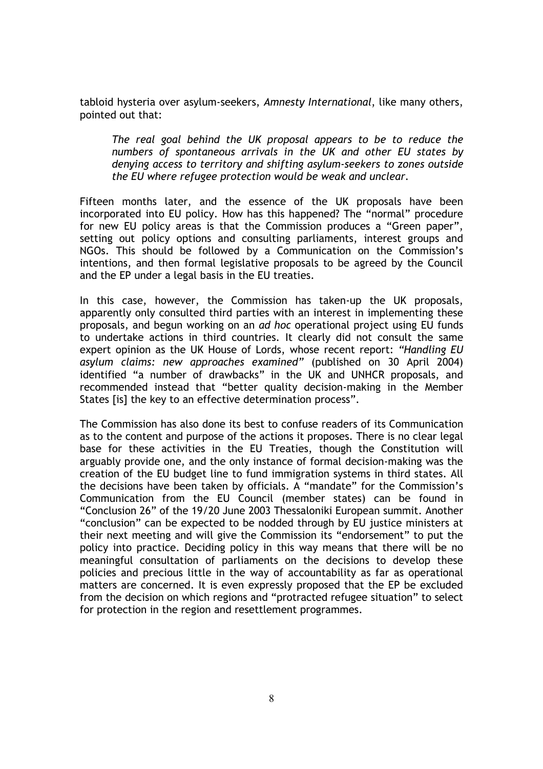tabloid hysteria over asylum-seekers, *Amnesty International*, like many others, pointed out that:

*The real goal behind the UK proposal appears to be to reduce the numbers of spontaneous arrivals in the UK and other EU states by denying access to territory and shifting asylum-seekers to zones outside the EU where refugee protection would be weak and unclear.* 

Fifteen months later, and the essence of the UK proposals have been incorporated into EU policy. How has this happened? The "normal" procedure for new EU policy areas is that the Commission produces a "Green paper", setting out policy options and consulting parliaments, interest groups and NGOs. This should be followed by a Communication on the Commission's intentions, and then formal legislative proposals to be agreed by the Council and the EP under a legal basis in the EU treaties.

In this case, however, the Commission has taken-up the UK proposals, apparently only consulted third parties with an interest in implementing these proposals, and begun working on an *ad hoc* operational project using EU funds to undertake actions in third countries. It clearly did not consult the same expert opinion as the UK House of Lords, whose recent report: *"Handling EU asylum claims: new approaches examined"* (published on 30 April 2004) identified "a number of drawbacks" in the UK and UNHCR proposals, and recommended instead that "better quality decision-making in the Member States [is] the key to an effective determination process".

The Commission has also done its best to confuse readers of its Communication as to the content and purpose of the actions it proposes. There is no clear legal base for these activities in the EU Treaties, though the Constitution will arguably provide one, and the only instance of formal decision-making was the creation of the EU budget line to fund immigration systems in third states. All the decisions have been taken by officials. A "mandate" for the Commission's Communication from the EU Council (member states) can be found in "Conclusion 26" of the 19/20 June 2003 Thessaloniki European summit. Another "conclusion" can be expected to be nodded through by EU justice ministers at their next meeting and will give the Commission its "endorsement" to put the policy into practice. Deciding policy in this way means that there will be no meaningful consultation of parliaments on the decisions to develop these policies and precious little in the way of accountability as far as operational matters are concerned. It is even expressly proposed that the EP be excluded from the decision on which regions and "protracted refugee situation" to select for protection in the region and resettlement programmes.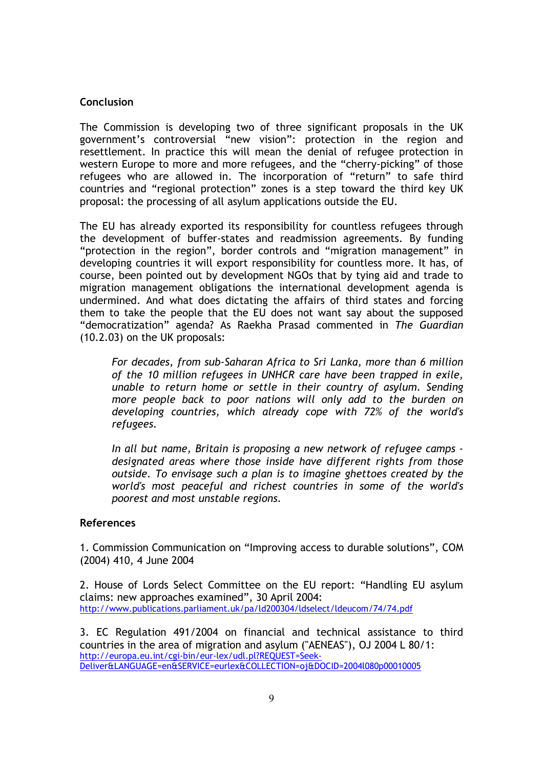### **Conclusion**

The Commission is developing two of three significant proposals in the UK government's controversial "new vision": protection in the region and resettlement. In practice this will mean the denial of refugee protection in western Europe to more and more refugees, and the "cherry-picking" of those refugees who are allowed in. The incorporation of "return" to safe third countries and "regional protection" zones is a step toward the third key UK proposal: the processing of all asylum applications outside the EU.

The EU has already exported its responsibility for countless refugees through the development of buffer-states and readmission agreements. By funding "protection in the region", border controls and "migration management" in developing countries it will export responsibility for countless more. It has, of course, been pointed out by development NGOs that by tying aid and trade to migration management obligations the international development agenda is undermined. And what does dictating the affairs of third states and forcing them to take the people that the EU does not want say about the supposed "democratization" agenda? As Raekha Prasad commented in *The Guardian*  (10.2.03) on the UK proposals:

*For decades, from sub-Saharan Africa to Sri Lanka, more than 6 million of the 10 million refugees in UNHCR care have been trapped in exile, unable to return home or settle in their country of asylum. Sending more people back to poor nations will only add to the burden on developing countries, which already cope with 72% of the world's refugees.* 

*In all but name, Britain is proposing a new network of refugee camps designated areas where those inside have different rights from those outside. To envisage such a plan is to imagine ghettoes created by the world's most peaceful and richest countries in some of the world's poorest and most unstable regions.* 

#### **References**

1. Commission Communication on "Improving access to durable solutions", COM (2004) 410, 4 June 2004

2. House of Lords Select Committee on the EU report: "Handling EU asylum claims: new approaches examined", 30 April 2004: http://www.publications.parliament.uk/pa/ld200304/ldselect/ldeucom/74/74.pdf

3. EC Regulation 491/2004 on financial and technical assistance to third countries in the area of migration and asylum ("AENEAS"), OJ 2004 L 80/1: http://europa.eu.int/cgi-bin/eur-lex/udl.pl?REQUEST=Seek-Deliver&LANGUAGE=en&SERVICE=eurlex&COLLECTION=oj&DOCID=2004l080p00010005